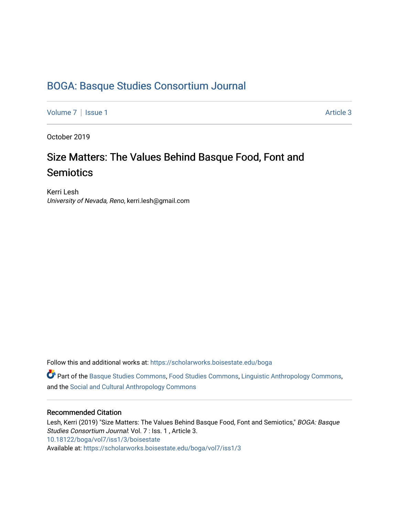# [BOGA: Basque Studies Consortium Journal](https://scholarworks.boisestate.edu/boga)

[Volume 7](https://scholarworks.boisestate.edu/boga/vol7) | [Issue 1](https://scholarworks.boisestate.edu/boga/vol7/iss1) Article 3

October 2019

# Size Matters: The Values Behind Basque Food, Font and **Semiotics**

Kerri Lesh University of Nevada, Reno, kerri.lesh@gmail.com

Follow this and additional works at: [https://scholarworks.boisestate.edu/boga](https://scholarworks.boisestate.edu/boga?utm_source=scholarworks.boisestate.edu%2Fboga%2Fvol7%2Fiss1%2F3&utm_medium=PDF&utm_campaign=PDFCoverPages) 

Part of the [Basque Studies Commons,](http://network.bepress.com/hgg/discipline/1244?utm_source=scholarworks.boisestate.edu%2Fboga%2Fvol7%2Fiss1%2F3&utm_medium=PDF&utm_campaign=PDFCoverPages) [Food Studies Commons](http://network.bepress.com/hgg/discipline/1386?utm_source=scholarworks.boisestate.edu%2Fboga%2Fvol7%2Fiss1%2F3&utm_medium=PDF&utm_campaign=PDFCoverPages), [Linguistic Anthropology Commons](http://network.bepress.com/hgg/discipline/322?utm_source=scholarworks.boisestate.edu%2Fboga%2Fvol7%2Fiss1%2F3&utm_medium=PDF&utm_campaign=PDFCoverPages), and the [Social and Cultural Anthropology Commons](http://network.bepress.com/hgg/discipline/323?utm_source=scholarworks.boisestate.edu%2Fboga%2Fvol7%2Fiss1%2F3&utm_medium=PDF&utm_campaign=PDFCoverPages)

#### Recommended Citation

Lesh, Kerri (2019) "Size Matters: The Values Behind Basque Food, Font and Semiotics," BOGA: Basque Studies Consortium Journal: Vol. 7 : Iss. 1 , Article 3. <10.18122/boga/vol7/iss1/3/boisestate> Available at: [https://scholarworks.boisestate.edu/boga/vol7/iss1/3](https://scholarworks.boisestate.edu/boga/vol7/iss1/3?utm_source=scholarworks.boisestate.edu%2Fboga%2Fvol7%2Fiss1%2F3&utm_medium=PDF&utm_campaign=PDFCoverPages)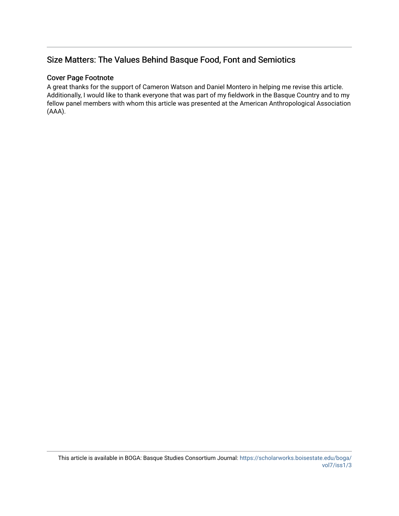# Size Matters: The Values Behind Basque Food, Font and Semiotics

#### Cover Page Footnote

A great thanks for the support of Cameron Watson and Daniel Montero in helping me revise this article. Additionally, I would like to thank everyone that was part of my fieldwork in the Basque Country and to my fellow panel members with whom this article was presented at the American Anthropological Association (AAA).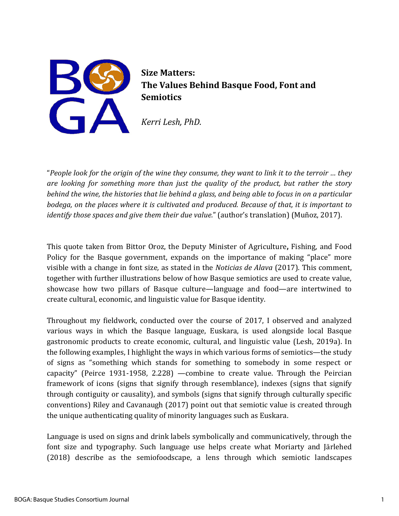

**Size Matters: The Values Behind Basque Food, Font and Semiotics**

*Kerri Lesh, PhD.* 

"*People look for the origin of the wine they consume, they want to link it to the terroir … they are looking for something more than just the quality of the product, but rather the story behind the wine, the histories that lie behind a glass, and being able to focus in on a particular bodega, on the places where it is cultivated and produced. Because of that, it is important to identify those spaces and give them their due value.*" (author's translation) (Muñoz, 2017).

This quote taken from Bittor Oroz, the Deputy Minister of Agriculture**,** Fishing, and Food Policy for the Basque government, expands on the importance of making "place" more visible with a change in font size*,* as stated in the *Noticias de Alava* (2017). This comment, together with further illustrations below of how Basque semiotics are used to create value, showcase how two pillars of Basque culture—language and food—are intertwined to create cultural, economic, and linguistic value for Basque identity.

Throughout my fieldwork, conducted over the course of 2017, I observed and analyzed various ways in which the Basque language, Euskara, is used alongside local Basque gastronomic products to create economic, cultural, and linguistic value (Lesh, 2019a). In the following examples, I highlight the ways in which various forms of semiotics—the study of signs as "something which stands for something to somebody in some respect or capacity" (Peirce 1931-1958, 2.228) —combine to create value. Through the Peircian framework of icons (signs that signify through resemblance), indexes (signs that signify through contiguity or causality), and symbols (signs that signify through culturally specific conventions) Riley and Cavanaugh (2017) point out that semiotic value is created through the unique authenticating quality of minority languages such as Euskara.

Language is used on signs and drink labels symbolically and communicatively, through the font size and typography. Such language use helps create what Moriarty and Järlehed (2018) describe as the semiofoodscape, a lens through which semiotic landscapes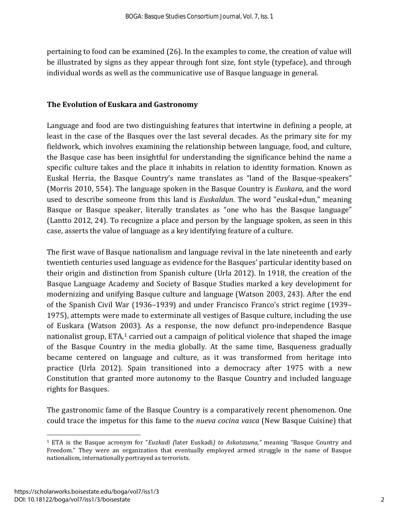pertaining to food can be examined (26). In the examples to come, the creation of value will be illustrated by signs as they appear through font size, font style (typeface), and through individual words as well as the communicative use of Basque language in general.

#### **The Evolution of Euskara and Gastronomy**

Language and food are two distinguishing features that intertwine in defining a people, at least in the case of the Basques over the last several decades. As the primary site for my fieldwork, which involves examining the relationship between language, food, and culture, the Basque case has been insightful for understanding the significance behind the name a specific culture takes and the place it inhabits in relation to identity formation. Known as Euskal Herria, the Basque Country's name translates as "land of the Basque-speakers" (Morris 2010, 554). The language spoken in the Basque Country is *Euskara*, and the word used to describe someone from this land is *Euskaldun*. The word "euskal+dun," meaning Basque or Basque speaker, literally translates as "one who has the Basque language" (Lantto 2012, 24). To recognize a place and person by the language spoken, as seen in this case, asserts the value of language as a key identifying feature of a culture.

The first wave of Basque nationalism and language revival in the late nineteenth and early twentieth centuries used language as evidence for the Basques' particular identity based on their origin and distinction from Spanish culture (Urla 2012). In 1918, the creation of the Basque Language Academy and Society of Basque Studies marked a key development for modernizing and unifying Basque culture and language (Watson 2003, 243). After the end of the Spanish Civil War (1936–1939) and under Francisco Franco's strict regime (1939– 1975), attempts were made to exterminate all vestiges of Basque culture, including the use of Euskara (Watson 2003). As a response, the now defunct pro-independence Basque nationalist group, ETA,<sup>[1](#page-3-0)</sup> carried out a campaign of political violence that shaped the image of the Basque Country in the media globally. At the same time, Basqueness gradually became centered on language and culture, as it was transformed from heritage into practice (Urla 2012). Spain transitioned into a democracy after 1975 with a new Constitution that granted more autonomy to the Basque Country and included language rights for Basques.

The gastronomic fame of the Basque Country is a comparatively recent phenomenon. One could trace the impetus for this fame to the *nueva cocina vasca* (New Basque Cuisine) that

 $\overline{\phantom{a}}$ 

<span id="page-3-0"></span><sup>1</sup> ETA is the Basque acronym for "*Euzkadi (*later Euskadi*) ta Askatasuna,"* meaning "Basque Country and Freedom." They were an organization that eventually employed armed struggle in the name of Basque nationalism, internationally portrayed as terrorists.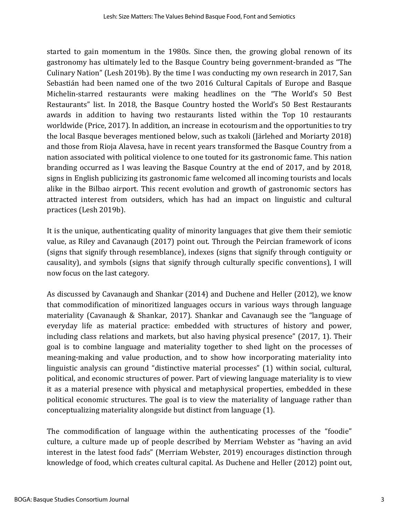started to gain momentum in the 1980s. Since then, the growing global renown of its gastronomy has ultimately led to the Basque Country being government-branded as "The Culinary Nation" (Lesh 2019b). By the time I was conducting my own research in 2017, San Sebastián had been named one of the two 2016 Cultural Capitals of Europe and Basque Michelin-starred restaurants were making headlines on the "The World's 50 Best Restaurants" list. In 2018, the Basque Country hosted the World's 50 Best Restaurants awards in addition to having two restaurants listed within the Top 10 restaurants worldwide (Price, 2017). In addition, an increase in ecotourism and the opportunities to try the local Basque beverages mentioned below, such as txakoli (Järlehed and Moriarty 2018) and those from Rioja Alavesa, have in recent years transformed the Basque Country from a nation associated with political violence to one touted for its gastronomic fame. This nation branding occurred as I was leaving the Basque Country at the end of 2017, and by 2018, signs in English publicizing its gastronomic fame welcomed all incoming tourists and locals alike in the Bilbao airport. This recent evolution and growth of gastronomic sectors has attracted interest from outsiders, which has had an impact on linguistic and cultural practices (Lesh 2019b).

It is the unique, authenticating quality of minority languages that give them their semiotic value, as Riley and Cavanaugh (2017) point out. Through the Peircian framework of icons (signs that signify through resemblance), indexes (signs that signify through contiguity or causality), and symbols (signs that signify through culturally specific conventions), I will now focus on the last category.

As discussed by Cavanaugh and Shankar (2014) and Duchene and Heller (2012), we know that commodification of minoritized languages occurs in various ways through language materiality (Cavanaugh & Shankar, 2017). Shankar and Cavanaugh see the "language of everyday life as material practice: embedded with structures of history and power, including class relations and markets, but also having physical presence" (2017, 1). Their goal is to combine language and materiality together to shed light on the processes of meaning-making and value production, and to show how incorporating materiality into linguistic analysis can ground "distinctive material processes" (1) within social, cultural, political, and economic structures of power. Part of viewing language materiality is to view it as a material presence with physical and metaphysical properties, embedded in these political economic structures. The goal is to view the materiality of language rather than conceptualizing materiality alongside but distinct from language (1).

The commodification of language within the authenticating processes of the "foodie" culture, a culture made up of people described by Merriam Webster as "having an avid interest in the latest food fads" (Merriam Webster, 2019) encourages distinction through knowledge of food, which creates cultural capital. As Duchene and Heller (2012) point out,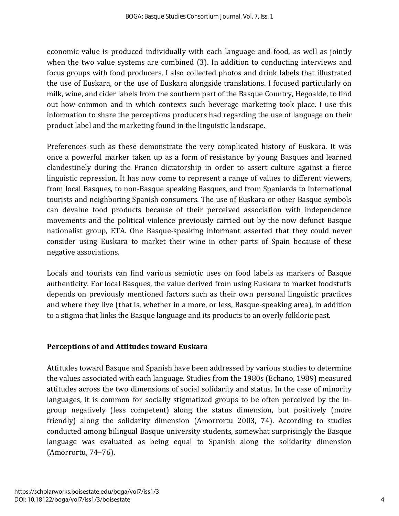economic value is produced individually with each language and food, as well as jointly when the two value systems are combined (3). In addition to conducting interviews and focus groups with food producers, I also collected photos and drink labels that illustrated the use of Euskara, or the use of Euskara alongside translations. I focused particularly on milk, wine, and cider labels from the southern part of the Basque Country, Hegoalde, to find out how common and in which contexts such beverage marketing took place. I use this information to share the perceptions producers had regarding the use of language on their product label and the marketing found in the linguistic landscape.

Preferences such as these demonstrate the very complicated history of Euskara. It was once a powerful marker taken up as a form of resistance by young Basques and learned clandestinely during the Franco dictatorship in order to assert culture against a fierce linguistic repression. It has now come to represent a range of values to different viewers, from local Basques, to non-Basque speaking Basques, and from Spaniards to international tourists and neighboring Spanish consumers. The use of Euskara or other Basque symbols can devalue food products because of their perceived association with independence movements and the political violence previously carried out by the now defunct Basque nationalist group, ETA. One Basque-speaking informant asserted that they could never consider using Euskara to market their wine in other parts of Spain because of these negative associations.

Locals and tourists can find various semiotic uses on food labels as markers of Basque authenticity. For local Basques, the value derived from using Euskara to market foodstuffs depends on previously mentioned factors such as their own personal linguistic practices and where they live (that is, whether in a more, or less, Basque-speaking area), in addition to a stigma that links the Basque language and its products to an overly folkloric past.

#### **Perceptions of and Attitudes toward Euskara**

Attitudes toward Basque and Spanish have been addressed by various studies to determine the values associated with each language. Studies from the 1980s (Echano, 1989) measured attitudes across the two dimensions of social solidarity and status. In the case of minority languages, it is common for socially stigmatized groups to be often perceived by the ingroup negatively (less competent) along the status dimension, but positively (more friendly) along the solidarity dimension (Amorrortu 2003, 74). According to studies conducted among bilingual Basque university students, somewhat surprisingly the Basque language was evaluated as being equal to Spanish along the solidarity dimension (Amorrortu, 74–76).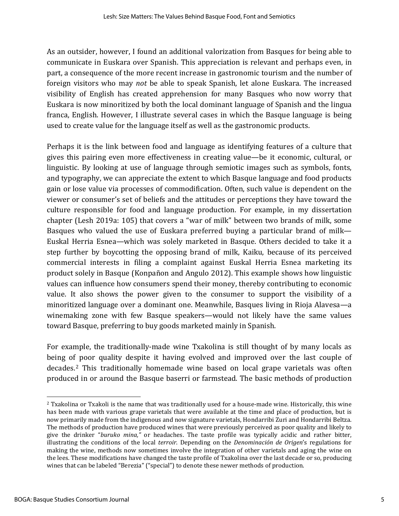As an outsider, however, I found an additional valorization from Basques for being able to communicate in Euskara over Spanish. This appreciation is relevant and perhaps even, in part, a consequence of the more recent increase in gastronomic tourism and the number of foreign visitors who may *not* be able to speak Spanish, let alone Euskara. The increased visibility of English has created apprehension for many Basques who now worry that Euskara is now minoritized by both the local dominant language of Spanish and the lingua franca, English. However, I illustrate several cases in which the Basque language is being used to create value for the language itself as well as the gastronomic products.

Perhaps it is the link between food and language as identifying features of a culture that gives this pairing even more effectiveness in creating value—be it economic, cultural, or linguistic. By looking at use of language through semiotic images such as symbols, fonts, and typography, we can appreciate the extent to which Basque language and food products gain or lose value via processes of commodification. Often, such value is dependent on the viewer or consumer's set of beliefs and the attitudes or perceptions they have toward the culture responsible for food and language production. For example, in my dissertation chapter (Lesh 2019a: 105) that covers a "war of milk" between two brands of milk, some Basques who valued the use of Euskara preferred buying a particular brand of milk— Euskal Herria Esnea—which was solely marketed in Basque. Others decided to take it a step further by boycotting the opposing brand of milk, Kaiku, because of its perceived commercial interests in filing a complaint against Euskal Herria Esnea marketing its product solely in Basque (Konpañon and Angulo 2012). This example shows how linguistic values can influence how consumers spend their money, thereby contributing to economic value. It also shows the power given to the consumer to support the visibility of a minoritized language over a dominant one. Meanwhile, Basques living in Rioja Alavesa—a winemaking zone with few Basque speakers—would not likely have the same values toward Basque, preferring to buy goods marketed mainly in Spanish.

For example, the traditionally-made wine Txakolina is still thought of by many locals as being of poor quality despite it having evolved and improved over the last couple of decades.[2](#page-6-0) This traditionally homemade wine based on local grape varietals was often produced in or around the Basque baserri or farmstead. The basic methods of production

 $\overline{\phantom{a}}$ 

<span id="page-6-0"></span><sup>2</sup> Txakolina or Txakoli is the name that was traditionally used for a house-made wine. Historically, this wine has been made with various grape varietals that were available at the time and place of production, but is now primarily made from the indigenous and now signature varietals, Hondarribi Zuri and Hondarribi Beltza. The methods of production have produced wines that were previously perceived as poor quality and likely to give the drinker "*buruko mina,"* or headaches. The taste profile was typically acidic and rather bitter, illustrating the conditions of the local *terroir*. Depending on the *Denominación de Origen*'s regulations for making the wine, methods now sometimes involve the integration of other varietals and aging the wine on the lees. These modifications have changed the taste profile of Txakolina over the last decade or so, producing wines that can be labeled "Berezia" ("special") to denote these newer methods of production.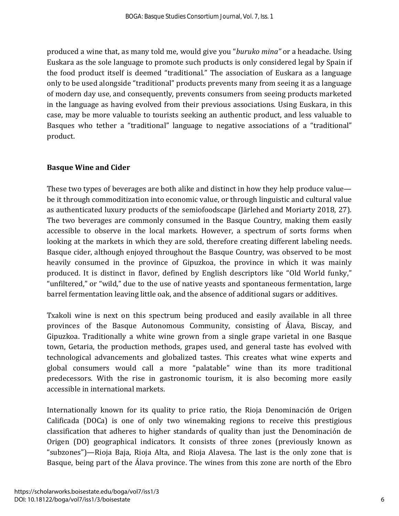produced a wine that, as many told me, would give you "*buruko mina"* or a headache. Using Euskara as the sole language to promote such products is only considered legal by Spain if the food product itself is deemed "traditional." The association of Euskara as a language only to be used alongside "traditional" products prevents many from seeing it as a language of modern day use, and consequently, prevents consumers from seeing products marketed in the language as having evolved from their previous associations. Using Euskara, in this case, may be more valuable to tourists seeking an authentic product, and less valuable to Basques who tether a "traditional" language to negative associations of a "traditional" product.

#### **Basque Wine and Cider**

These two types of beverages are both alike and distinct in how they help produce value be it through commoditization into economic value, or through linguistic and cultural value as authenticated luxury products of the semiofoodscape (Järlehed and Moriarty 2018, 27). The two beverages are commonly consumed in the Basque Country, making them easily accessible to observe in the local markets. However, a spectrum of sorts forms when looking at the markets in which they are sold, therefore creating different labeling needs. Basque cider, although enjoyed throughout the Basque Country, was observed to be most heavily consumed in the province of Gipuzkoa, the province in which it was mainly produced. It is distinct in flavor, defined by English descriptors like "Old World funky," "unfiltered," or "wild," due to the use of native yeasts and spontaneous fermentation, large barrel fermentation leaving little oak, and the absence of additional sugars or additives.

Txakoli wine is next on this spectrum being produced and easily available in all three provinces of the Basque Autonomous Community, consisting of Álava, Biscay, and Gipuzkoa. Traditionally a white wine grown from a single grape varietal in one Basque town, Getaria, the production methods, grapes used, and general taste has evolved with technological advancements and globalized tastes. This creates what wine experts and global consumers would call a more "palatable" wine than its more traditional predecessors. With the rise in gastronomic tourism, it is also becoming more easily accessible in international markets.

Internationally known for its quality to price ratio, the Rioja Denominación de Origen Calificada (DOCa) is one of only two winemaking regions to receive this prestigious classification that adheres to higher standards of quality than just the Denominación de Origen (DO) geographical indicators. It consists of three zones (previously known as "subzones")—Rioja Baja, Rioja Alta, and Rioja Alavesa. The last is the only zone that is Basque, being part of the Álava province. The wines from this zone are north of the Ebro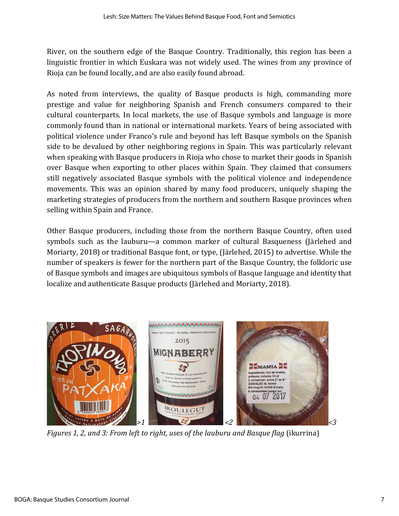River, on the southern edge of the Basque Country. Traditionally, this region has been a linguistic frontier in which Euskara was not widely used. The wines from any province of Rioja can be found locally, and are also easily found abroad.

As noted from interviews, the quality of Basque products is high, commanding more prestige and value for neighboring Spanish and French consumers compared to their cultural counterparts. In local markets, the use of Basque symbols and language is more commonly found than in national or international markets. Years of being associated with political violence under Franco's rule and beyond has left Basque symbols on the Spanish side to be devalued by other neighboring regions in Spain. This was particularly relevant when speaking with Basque producers in Rioja who chose to market their goods in Spanish over Basque when exporting to other places within Spain. They claimed that consumers still negatively associated Basque symbols with the political violence and independence movements. This was an opinion shared by many food producers, uniquely shaping the marketing strategies of producers from the northern and southern Basque provinces when selling within Spain and France.

Other Basque producers, including those from the northern Basque Country, often used symbols such as the lauburu—a common marker of cultural Basqueness (Järlehed and Moriarty, 2018) or traditional Basque font, or type, (Järlehed, 2015) to advertise. While the number of speakers is fewer for the northern part of the Basque Country, the folkloric use of Basque symbols and images are ubiquitous symbols of Basque language and identity that localize and authenticate Basque products (Järlehed and Moriarty, 2018).



*Figures 1, 2, and 3: From left to right, uses of the lauburu and Basque flag* (ikurrina)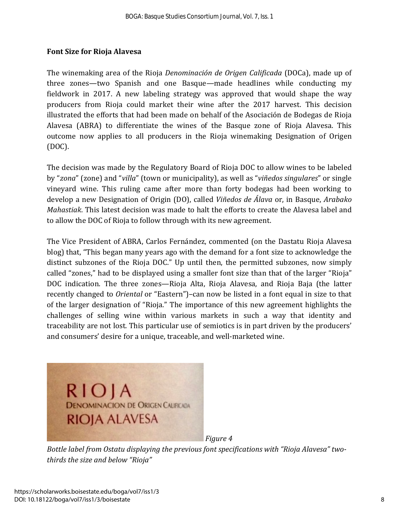## **Font Size for Rioja Alavesa**

The winemaking area of the Rioja *Denominación de Origen Calificada* (DOCa), made up of three zones—two Spanish and one Basque—made headlines while conducting my fieldwork in 2017. A new labeling strategy was approved that would shape the way producers from Rioja could market their wine after the 2017 harvest. This decision illustrated the efforts that had been made on behalf of the Asociación de Bodegas de Rioja Alavesa (ABRA) to differentiate the wines of the Basque zone of Rioja Alavesa. This outcome now applies to all producers in the Rioja winemaking Designation of Origen (DOC).

The decision was made by the Regulatory Board of Rioja DOC to allow wines to be labeled by "*zona*" (zone) and "*villa*" (town or municipality), as well as "*viñedos singulares*" or single vineyard wine. This ruling came after more than forty bodegas had been working to develop a new Designation of Origin (DO), called *Viñedos de Álava* or, in Basque, *Arabako Mahastiak*. This latest decision was made to halt the efforts to create the Alavesa label and to allow the DOC of Rioja to follow through with its new agreement.

The Vice President of ABRA, Carlos Fernández, commented (on the Dastatu Rioja Alavesa blog) that, "This began many years ago with the demand for a font size to acknowledge the distinct subzones of the Rioja DOC." Up until then, the permitted subzones, now simply called "zones," had to be displayed using a smaller font size than that of the larger "Rioja" DOC indication. The three zones—Rioja Alta, Rioja Alavesa, and Rioja Baja (the latter recently changed to *Oriental* or "Eastern")–can now be listed in a font equal in size to that of the larger designation of "Rioja." The importance of this new agreement highlights the challenges of selling wine within various markets in such a way that identity and traceability are not lost. This particular use of semiotics is in part driven by the producers' and consumers' desire for a unique, traceable, and well-marketed wine.



*Figure 4*

*Bottle label from Ostatu displaying the previous font specifications with "Rioja Alavesa" twothirds the size and below "Rioja"*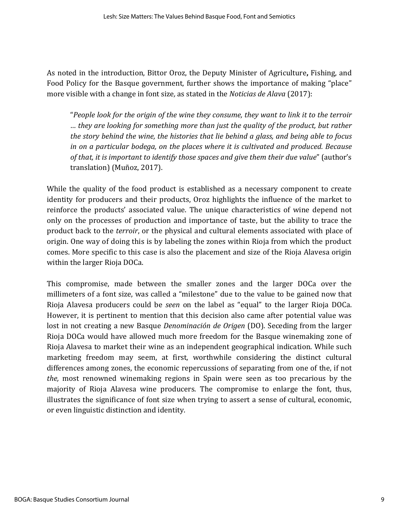As noted in the introduction, Bittor Oroz, the Deputy Minister of Agriculture**,** Fishing, and Food Policy for the Basque government, further shows the importance of making "place" more visible with a change in font size*,* as stated in the *Noticias de Alava* (2017):

"*People look for the origin of the wine they consume, they want to link it to the terroir … they are looking for something more than just the quality of the product, but rather the story behind the wine, the histories that lie behind a glass, and being able to focus in on a particular bodega, on the places where it is cultivated and produced. Because of that, it is important to identify those spaces and give them their due value*" (author's translation) (Muñoz, 2017).

While the quality of the food product is established as a necessary component to create identity for producers and their products, Oroz highlights the influence of the market to reinforce the products' associated value. The unique characteristics of wine depend not only on the processes of production and importance of taste, but the ability to trace the product back to the *terroir*, or the physical and cultural elements associated with place of origin. One way of doing this is by labeling the zones within Rioja from which the product comes. More specific to this case is also the placement and size of the Rioja Alavesa origin within the larger Rioja DOCa.

This compromise, made between the smaller zones and the larger DOCa over the millimeters of a font size, was called a "milestone" due to the value to be gained now that Rioja Alavesa producers could be *seen* on the label as "equal" to the larger Rioja DOCa. However, it is pertinent to mention that this decision also came after potential value was lost in not creating a new Basque *Denominación de Origen* (DO). Seceding from the larger Rioja DOCa would have allowed much more freedom for the Basque winemaking zone of Rioja Alavesa to market their wine as an independent geographical indication. While such marketing freedom may seem, at first, worthwhile considering the distinct cultural differences among zones, the economic repercussions of separating from one of the, if not *the,* most renowned winemaking regions in Spain were seen as too precarious by the majority of Rioja Alavesa wine producers. The compromise to enlarge the font, thus, illustrates the significance of font size when trying to assert a sense of cultural, economic, or even linguistic distinction and identity.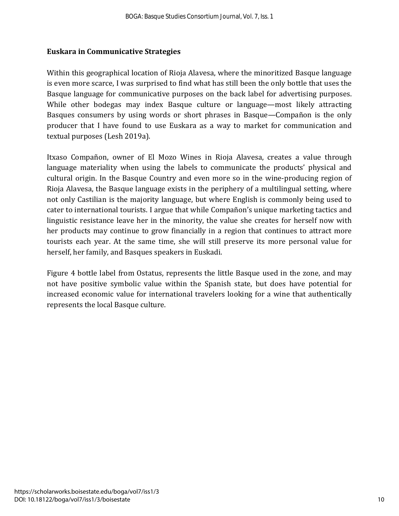#### **Euskara in Communicative Strategies**

Within this geographical location of Rioja Alavesa, where the minoritized Basque language is even more scarce, I was surprised to find what has still been the only bottle that uses the Basque language for communicative purposes on the back label for advertising purposes. While other bodegas may index Basque culture or language—most likely attracting Basques consumers by using words or short phrases in Basque—Compañon is the only producer that I have found to use Euskara as a way to market for communication and textual purposes (Lesh 2019a).

Itxaso Compañon, owner of El Mozo Wines in Rioja Alavesa, creates a value through language materiality when using the labels to communicate the products' physical and cultural origin. In the Basque Country and even more so in the wine-producing region of Rioja Alavesa, the Basque language exists in the periphery of a multilingual setting, where not only Castilian is the majority language, but where English is commonly being used to cater to international tourists. I argue that while Compañon's unique marketing tactics and linguistic resistance leave her in the minority, the value she creates for herself now with her products may continue to grow financially in a region that continues to attract more tourists each year. At the same time, she will still preserve its more personal value for herself, her family, and Basques speakers in Euskadi.

Figure 4 bottle label from Ostatus, represents the little Basque used in the zone, and may not have positive symbolic value within the Spanish state, but does have potential for increased economic value for international travelers looking for a wine that authentically represents the local Basque culture.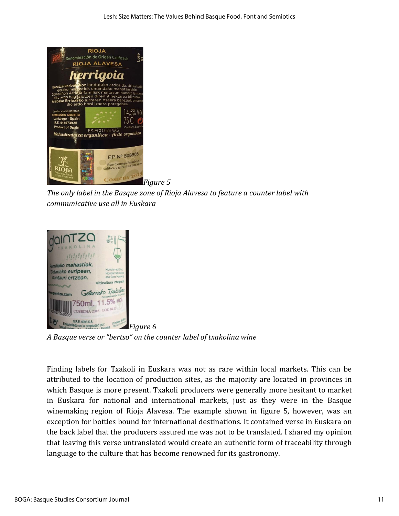

*The only label in the Basque zone of Rioja Alavesa to feature a counter label with communicative use all in Euskara*



*A Basque verse or "bertso" on the counter label of txakolina wine*

Finding labels for Txakoli in Euskara was not as rare within local markets. This can be attributed to the location of production sites, as the majority are located in provinces in which Basque is more present. Txakoli producers were generally more hesitant to market in Euskara for national and international markets, just as they were in the Basque winemaking region of Rioja Alavesa. The example shown in figure 5, however, was an exception for bottles bound for international destinations. It contained verse in Euskara on the back label that the producers assured me was not to be translated. I shared my opinion that leaving this verse untranslated would create an authentic form of traceability through language to the culture that has become renowned for its gastronomy.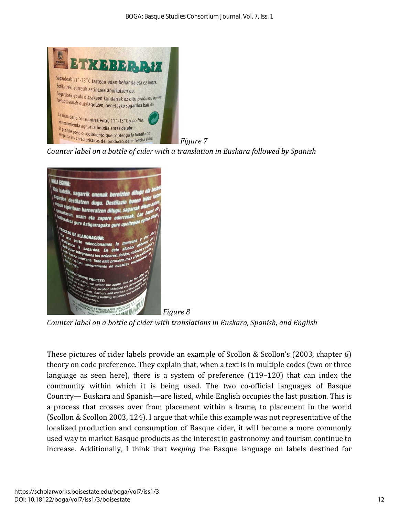

*Counter label on a bottle of cider with a translation in Euskara followed by Spanish*



*Counter label on a bottle of cider with translations in Euskara, Spanish, and English*

These pictures of cider labels provide an example of Scollon & Scollon's (2003, chapter 6) theory on code preference. They explain that, when a text is in multiple codes (two or three language as seen here), there is a system of preference (119–120) that can index the community within which it is being used. The two co-official languages of Basque Country— Euskara and Spanish—are listed, while English occupies the last position. This is a process that crosses over from placement within a frame, to placement in the world (Scollon & Scollon 2003, 124). I argue that while this example was not representative of the localized production and consumption of Basque cider, it will become a more commonly used way to market Basque products as the interest in gastronomy and tourism continue to increase. Additionally, I think that *keeping* the Basque language on labels destined for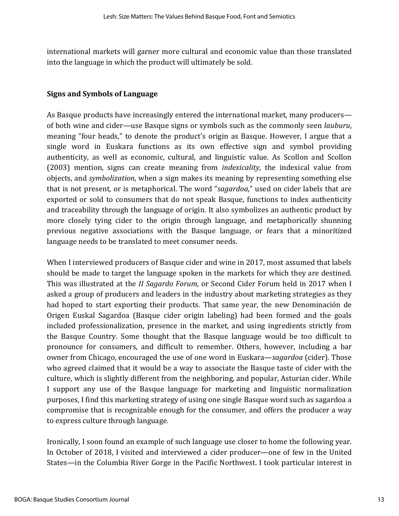international markets will garner more cultural and economic value than those translated into the language in which the product will ultimately be sold.

#### **Signs and Symbols of Language**

As Basque products have increasingly entered the international market, many producers of both wine and cider—use Basque signs or symbols such as the commonly seen *lauburu*, meaning "four heads," to denote the product's origin as Basque. However, I argue that a single word in Euskara functions as its own effective sign and symbol providing authenticity, as well as economic, cultural, and linguistic value. As Scollon and Scollon (2003) mention, signs can create meaning from *indexicality,* the indexical value from objects, and *symbolization*, when a sign makes its meaning by representing something else that is not present, or is metaphorical. The word "*sagardoa*," used on cider labels that are exported or sold to consumers that do not speak Basque, functions to index authenticity and traceability through the language of origin. It also symbolizes an authentic product by more closely tying cider to the origin through language, and metaphorically shunning previous negative associations with the Basque language, or fears that a minoritized language needs to be translated to meet consumer needs.

When I interviewed producers of Basque cider and wine in 2017, most assumed that labels should be made to target the language spoken in the markets for which they are destined. This was illustrated at the *II Sagardo Forum*, or Second Cider Forum held in 2017 when I asked a group of producers and leaders in the industry about marketing strategies as they had hoped to start exporting their products. That same year, the new Denominación de Origen Euskal Sagardoa (Basque cider origin labeling) had been formed and the goals included professionalization, presence in the market, and using ingredients strictly from the Basque Country. Some thought that the Basque language would be too difficult to pronounce for consumers, and difficult to remember. Others, however, including a bar owner from Chicago, encouraged the use of one word in Euskara—*sagardoa* (cider)*.* Those who agreed claimed that it would be a way to associate the Basque taste of cider with the culture, which is slightly different from the neighboring, and popular, Asturian cider. While I support any use of the Basque language for marketing and linguistic normalization purposes, I find this marketing strategy of using one single Basque word such as sagardoa a compromise that is recognizable enough for the consumer, and offers the producer a way to express culture through language.

Ironically, I soon found an example of such language use closer to home the following year. In October of 2018, I visited and interviewed a cider producer—one of few in the United States—in the Columbia River Gorge in the Pacific Northwest. I took particular interest in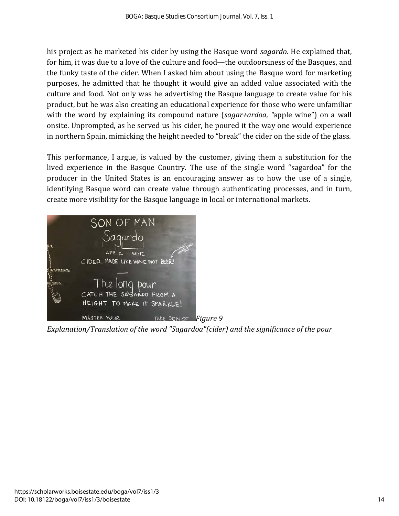his project as he marketed his cider by using the Basque word *sagardo*. He explained that, for him, it was due to a love of the culture and food—the outdoorsiness of the Basques, and the funky taste of the cider. When I asked him about using the Basque word for marketing purposes, he admitted that he thought it would give an added value associated with the culture and food. Not only was he advertising the Basque language to create value for his product, but he was also creating an educational experience for those who were unfamiliar with the word by explaining its compound nature (*sagar+ardoa, "*apple wine") on a wall onsite. Unprompted, as he served us his cider, he poured it the way one would experience in northern Spain, mimicking the height needed to "break" the cider on the side of the glass.

This performance, I argue, is valued by the customer, giving them a substitution for the lived experience in the Basque Country. The use of the single word "sagardoa" for the producer in the United States is an encouraging answer as to how the use of a single, identifying Basque word can create value through authenticating processes, and in turn, create more visibility for the Basque language in local or international markets.



*Explanation/Translation of the word "Sagardoa"(cider) and the significance of the pour*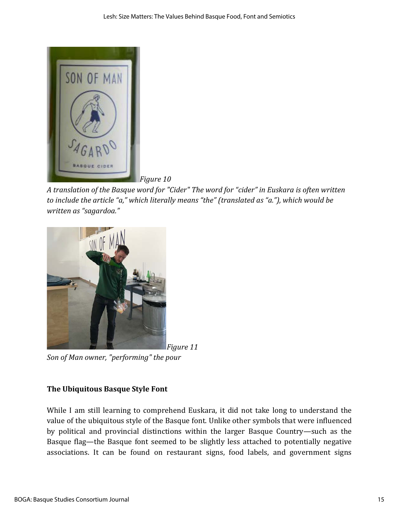

*Figure 10*

*A translation of the Basque word for "Cider" The word for "cider" in Euskara is often written to include the article "a," which literally means "the" (translated as "a."), which would be written as "sagardoa."*



*Son of Man owner, "performing" the pour*

## **The Ubiquitous Basque Style Font**

While I am still learning to comprehend Euskara, it did not take long to understand the value of the ubiquitous style of the Basque font. Unlike other symbols that were influenced by political and provincial distinctions within the larger Basque Country—such as the Basque flag—the Basque font seemed to be slightly less attached to potentially negative associations. It can be found on restaurant signs, food labels, and government signs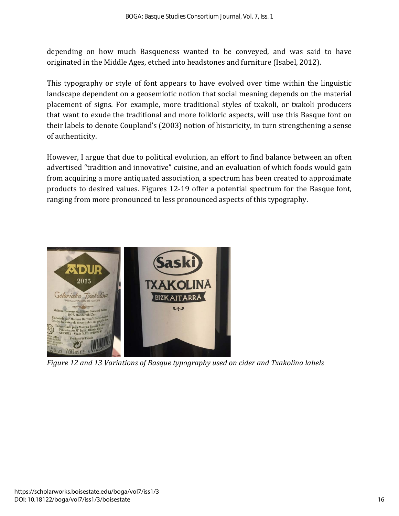depending on how much Basqueness wanted to be conveyed, and was said to have originated in the Middle Ages, etched into headstones and furniture (Isabel, 2012).

This typography or style of font appears to have evolved over time within the linguistic landscape dependent on a geosemiotic notion that social meaning depends on the material placement of signs. For example, more traditional styles of txakoli, or txakoli producers that want to exude the traditional and more folkloric aspects, will use this Basque font on their labels to denote Coupland's (2003) notion of historicity, in turn strengthening a sense of authenticity.

However, I argue that due to political evolution, an effort to find balance between an often advertised "tradition and innovative" cuisine, and an evaluation of which foods would gain from acquiring a more antiquated association, a spectrum has been created to approximate products to desired values. Figures 12-19 offer a potential spectrum for the Basque font, ranging from more pronounced to less pronounced aspects of this typography.



*Figure 12 and 13 Variations of Basque typography used on cider and Txakolina labels*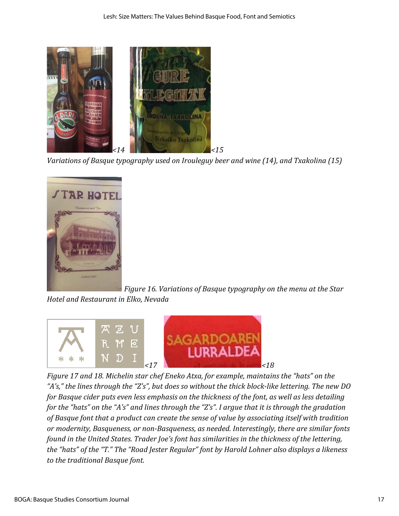

*Variations of Basque typography used on Irouleguy beer and wine (14), and Txakolina (15)*



*Figure 16. Variations of Basque typography on the menu at the Star Hotel and Restaurant in Elko, Nevada*



*Figure 17 and 18. Michelin star chef Eneko Atxa, for example, maintains the "hats" on the "A's," the lines through the "Z's", but does so without the thick block-like lettering. The new DO for Basque cider puts even less emphasis on the thickness of the font, as well as less detailing for the "hats" on the "A's" and lines through the "Z's". I argue that it is through the gradation of Basque font that a product can create the sense of value by associating itself with tradition or modernity, Basqueness, or non-Basqueness, as needed. Interestingly, there are similar fonts found in the United States. Trader Joe's font has similarities in the thickness of the lettering, the "hats" of the "T." The "Road Jester Regular" font by Harold Lohner also displays a likeness to the traditional Basque font.*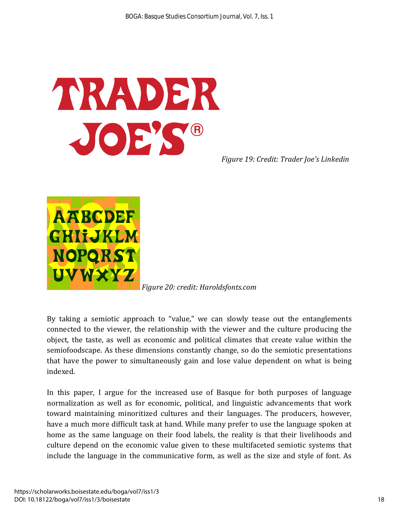

*Figure 19: Credit: Trader Joe's Linkedin*



*Figure 20: credit: Haroldsfonts.com*

By taking a semiotic approach to "value," we can slowly tease out the entanglements connected to the viewer, the relationship with the viewer and the culture producing the object, the taste, as well as economic and political climates that create value within the semiofoodscape. As these dimensions constantly change, so do the semiotic presentations that have the power to simultaneously gain and lose value dependent on what is being indexed.

In this paper, I argue for the increased use of Basque for both purposes of language normalization as well as for economic, political, and linguistic advancements that work toward maintaining minoritized cultures and their languages. The producers, however, have a much more difficult task at hand. While many prefer to use the language spoken at home as the same language on their food labels, the reality is that their livelihoods and culture depend on the economic value given to these multifaceted semiotic systems that include the language in the communicative form, as well as the size and style of font. As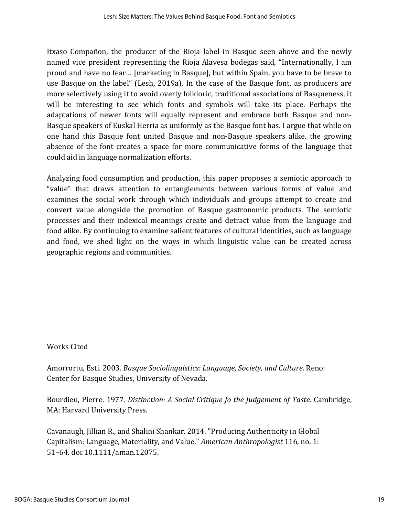Itxaso Compañon, the producer of the Rioja label in Basque seen above and the newly named vice president representing the Rioja Alavesa bodegas said, "Internationally, I am proud and have no fear… [marketing in Basque], but within Spain, you have to be brave to use Basque on the label" (Lesh, 2019a). In the case of the Basque font, as producers are more selectively using it to avoid overly folkloric, traditional associations of Basqueness, it will be interesting to see which fonts and symbols will take its place. Perhaps the adaptations of newer fonts will equally represent and embrace both Basque and non-Basque speakers of Euskal Herria as uniformly as the Basque font has. I argue that while on one hand this Basque font united Basque and non-Basque speakers alike, the growing absence of the font creates a space for more communicative forms of the language that could aid in language normalization efforts.

Analyzing food consumption and production, this paper proposes a semiotic approach to "value" that draws attention to entanglements between various forms of value and examines the social work through which individuals and groups attempt to create and convert value alongside the promotion of Basque gastronomic products. The semiotic processes and their indexical meanings create and detract value from the language and food alike. By continuing to examine salient features of cultural identities, such as language and food, we shed light on the ways in which linguistic value can be created across geographic regions and communities.

## Works Cited

Amorrortu, Esti. 2003. *Basque Sociolinguistics: Language, Society, and Culture*. Reno: Center for Basque Studies, University of Nevada.

Bourdieu, Pierre. 1977. *Distinction: A Social Critique fo the Judgement of Taste.* Cambridge, MA: Harvard University Press.

Cavanaugh, Jillian R., and Shalini Shankar. 2014. "Producing Authenticity in Global Capitalism: Language, Materiality, and Value." *American Anthropologist* 116, no. 1: 51–64. doi:10.1111/aman.12075.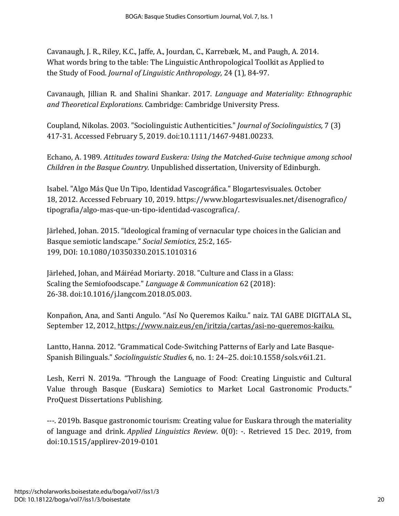Cavanaugh, J. R., Riley, K.C., Jaffe, A., Jourdan, C., Karrebæk, M., and Paugh, A. 2014. What words bring to the table: The Linguistic Anthropological Toolkit as Applied to the Study of Food. *Journal of Linguistic Anthropology,* 24 (1), 84-97.

Cavanaugh, Jillian R. and Shalini Shankar. 2017. *Language and Materiality: Ethnographic and Theoretical Explorations*. Cambridge: Cambridge University Press.

Coupland, Nikolas. 2003. "Sociolinguistic Authenticities." *Journal of Sociolinguistics,* 7 (3) 417-31. Accessed February 5, 2019. doi:10.1111/1467-9481.00233.

Echano, A. 1989. *Attitudes toward Euskera: Using the Matched-Guise technique among school Children in the Basque Country.* Unpublished dissertation, University of Edinburgh.

Isabel. "Algo Más Que Un Tipo, Identidad Vascográfica." Blogartesvisuales. October 18, 2012. Accessed February 10, 2019. https://www.blogartesvisuales.net/disenografico/ tipografia/algo-mas-que-un-tipo-identidad-vascografica/.

Järlehed, Johan. 2015. "Ideological framing of vernacular type choices in the Galician and Basque semiotic landscape." *Social Semiotics*, 25:2, 165- 199, DOI: 10.1080/10350330.2015.1010316

Järlehed, Johan, and Máiréad Moriarty. 2018. "Culture and Class in a Glass: Scaling the Semiofoodscape." *Language & Communication* 62 (2018): 26-38. doi:10.1016/j.langcom.2018.05.003.

Konpañon, Ana, and Santi Angulo. "Así No Queremos Kaiku." naiz. TAI GABE DIGITALA SL, September 12, 2012. [https://www.naiz.eus/en/iritzia/cartas/asi-no-queremos-kaiku.](https://www.naiz.eus/en/iritzia/cartas/asi-no-queremos-kaiku)

Lantto, Hanna. 2012. "Grammatical Code-Switching Patterns of Early and Late Basque-Spanish Bilinguals." *Sociolinguistic Studies* 6, no. 1: 24–25. doi:10.1558/sols.v6i1.21.

Lesh, Kerri N. 2019a. "Through the Language of Food: Creating Linguistic and Cultural Value through Basque (Euskara) Semiotics to Market Local Gastronomic Products." ProQuest Dissertations Publishing.

---. 2019b. Basque gastronomic tourism: Creating value for Euskara through the materiality of language and drink. *Applied Linguistics Review*. 0(0): -. Retrieved 15 Dec. 2019, from doi:10.1515/applirev-2019-0101